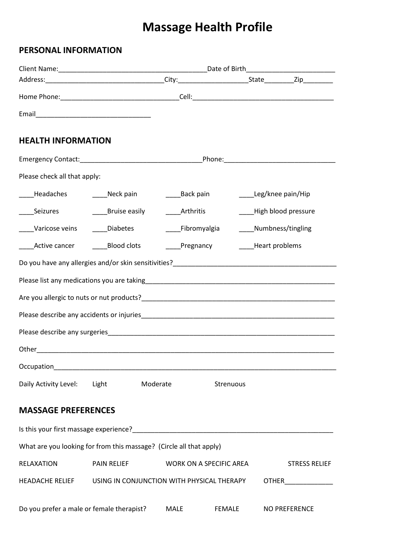# **Massage Health Profile**

## **PERSONAL INFORMATION**

| <b>HEALTH INFORMATION</b>                 |                                                                     |                   |                         |                                 |                              |  |
|-------------------------------------------|---------------------------------------------------------------------|-------------------|-------------------------|---------------------------------|------------------------------|--|
|                                           |                                                                     |                   |                         |                                 |                              |  |
|                                           |                                                                     |                   |                         |                                 |                              |  |
| Please check all that apply:              |                                                                     |                   |                         |                                 |                              |  |
| Headaches                                 | _____Neck pain                                                      | _______Back pain  |                         | _____Leg/knee pain/Hip          |                              |  |
| ______Seizures                            | _____Bruise easily                                                  | <b>Example 12</b> |                         | High blood pressure             |                              |  |
| Varicose veins                            | Diabetes                                                            |                   | Fibromyalgia            | Numbness/tingling               |                              |  |
| Active cancer Blood clots                 |                                                                     |                   |                         | Pregnancy _______Heart problems |                              |  |
|                                           |                                                                     |                   |                         |                                 |                              |  |
|                                           |                                                                     |                   |                         |                                 |                              |  |
|                                           |                                                                     |                   |                         |                                 |                              |  |
|                                           |                                                                     |                   |                         |                                 |                              |  |
|                                           |                                                                     |                   |                         |                                 |                              |  |
|                                           |                                                                     |                   |                         |                                 |                              |  |
| Occupation                                |                                                                     |                   |                         |                                 |                              |  |
| Daily Activity Level: Light               | Moderate                                                            |                   | Strenuous               |                                 |                              |  |
|                                           |                                                                     |                   |                         |                                 |                              |  |
| <b>MASSAGE PREFERENCES</b>                |                                                                     |                   |                         |                                 |                              |  |
|                                           |                                                                     |                   |                         |                                 |                              |  |
|                                           | What are you looking for from this massage? (Circle all that apply) |                   |                         |                                 |                              |  |
| <b>RELAXATION</b>                         | <b>PAIN RELIEF</b>                                                  |                   | WORK ON A SPECIFIC AREA |                                 | <b>STRESS RELIEF</b>         |  |
| <b>HEADACHE RELIEF</b>                    | USING IN CONJUNCTION WITH PHYSICAL THERAPY                          |                   |                         |                                 | <b>OTHER</b> _______________ |  |
| Do you prefer a male or female therapist? |                                                                     | <b>MALE</b>       | <b>FEMALE</b>           |                                 | <b>NO PREFERENCE</b>         |  |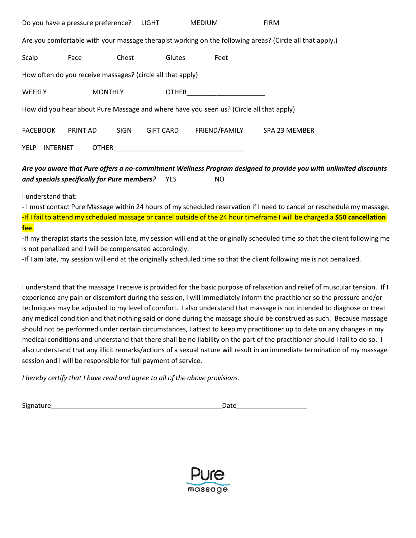| Do you have a pressure preference?                                                                       |                |             | LIGHT            | <b>MEDIUM</b> | <b>FIRM</b>   |  |
|----------------------------------------------------------------------------------------------------------|----------------|-------------|------------------|---------------|---------------|--|
| Are you comfortable with your massage therapist working on the following areas? (Circle all that apply.) |                |             |                  |               |               |  |
| Scalp                                                                                                    | Face           | Chest       | Glutes           | Feet          |               |  |
| How often do you receive massages? (circle all that apply)                                               |                |             |                  |               |               |  |
| <b>WEEKLY</b>                                                                                            | <b>MONTHLY</b> |             | <b>OTHER</b>     |               |               |  |
| How did you hear about Pure Massage and where have you seen us? (Circle all that apply)                  |                |             |                  |               |               |  |
| <b>FACEBOOK</b>                                                                                          | PRINT AD       | <b>SIGN</b> | <b>GIFT CARD</b> | FRIEND/FAMILY | SPA 23 MEMBER |  |
| <b>YELP</b><br><b>OTHER</b><br><b>INTERNET</b>                                                           |                |             |                  |               |               |  |

#### *Are you aware that Pure offers a no-commitment Wellness Program designed to provide you with unlimited discounts and specials specifically for Pure members?* YES NO

I understand that:

- I must contact Pure Massage within 24 hours of my scheduled reservation if I need to cancel or reschedule my massage. -If I fail to attend my scheduled massage or cancel outside of the 24 hour timeframe I will be charged a **\$50 cancellation fee**.

-If my therapist starts the session late, my session will end at the originally scheduled time so that the client following me is not penalized and I will be compensated accordingly.

-If I am late, my session will end at the originally scheduled time so that the client following me is not penalized.

I understand that the massage I receive is provided for the basic purpose of relaxation and relief of muscular tension. If I experience any pain or discomfort during the session, I will immediately inform the practitioner so the pressure and/or techniques may be adjusted to my level of comfort. I also understand that massage is not intended to diagnose or treat any medical condition and that nothing said or done during the massage should be construed as such. Because massage should not be performed under certain circumstances, I attest to keep my practitioner up to date on any changes in my medical conditions and understand that there shall be no liability on the part of the practitioner should I fail to do so. I also understand that any illicit remarks/actions of a sexual nature will result in an immediate termination of my massage session and I will be responsible for full payment of service.

*I hereby certify that I have read and agree to all of the above provisions*.

Signature\_\_\_\_\_\_\_\_\_\_\_\_\_\_\_\_\_\_\_\_\_\_\_\_\_\_\_\_\_\_\_\_\_\_\_\_\_\_\_\_\_\_\_\_\_\_Date\_\_\_\_\_\_\_\_\_\_\_\_\_\_\_\_\_\_\_

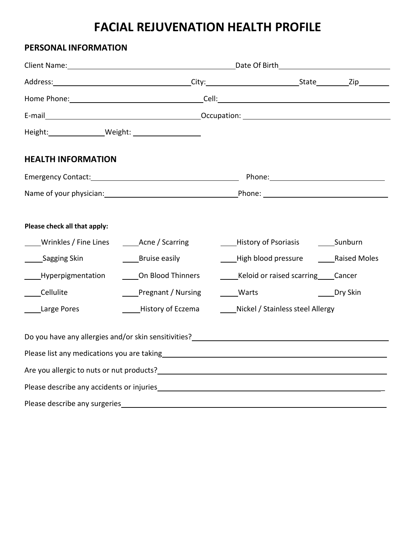## **FACIAL REJUVENATION HEALTH PROFILE**

## **PERSONAL INFORMATION**

| Height: Weight: Weight:                                                     |                                                       |                                                                                                                                                                                                                                |          |  |  |
|-----------------------------------------------------------------------------|-------------------------------------------------------|--------------------------------------------------------------------------------------------------------------------------------------------------------------------------------------------------------------------------------|----------|--|--|
| <b>HEALTH INFORMATION</b>                                                   |                                                       |                                                                                                                                                                                                                                |          |  |  |
|                                                                             |                                                       |                                                                                                                                                                                                                                |          |  |  |
|                                                                             |                                                       |                                                                                                                                                                                                                                |          |  |  |
| Please check all that apply:<br>Wrinkles / Fine Lines<br>______Sagging Skin | Acne / Scarring<br>Bruise easily<br>On Blood Thinners | _____History of Psoriasis _____________Sunburn<br>High blood pressure Raised Moles<br>Keloid or raised scarring Cancer                                                                                                         |          |  |  |
| Hyperpigmentation<br>Cellulite                                              | Pregnant / Nursing                                    | Warts                                                                                                                                                                                                                          | Dry Skin |  |  |
| Large Pores                                                                 | History of Eczema                                     | Nickel / Stainless steel Allergy                                                                                                                                                                                               |          |  |  |
|                                                                             |                                                       |                                                                                                                                                                                                                                |          |  |  |
|                                                                             |                                                       |                                                                                                                                                                                                                                |          |  |  |
|                                                                             |                                                       |                                                                                                                                                                                                                                |          |  |  |
|                                                                             |                                                       |                                                                                                                                                                                                                                |          |  |  |
|                                                                             |                                                       | Please describe any surgeries experience and the set of the set of the set of the set of the set of the set of the set of the set of the set of the set of the set of the set of the set of the set of the set of the set of t |          |  |  |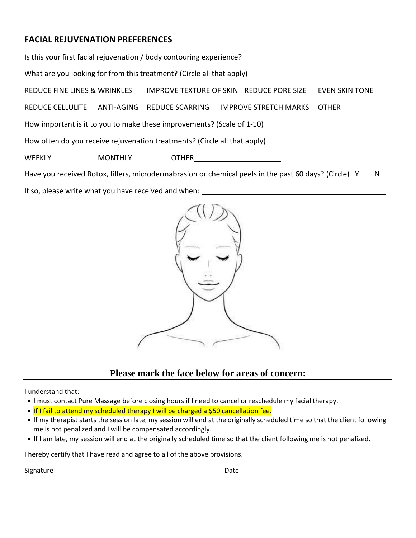## **FACIAL REJUVENATION PREFERENCES**

| Is this your first facial rejuvenation / body contouring experience?                                       |                |                                          |  |                              |                       |  |  |
|------------------------------------------------------------------------------------------------------------|----------------|------------------------------------------|--|------------------------------|-----------------------|--|--|
| What are you looking for from this treatment? (Circle all that apply)                                      |                |                                          |  |                              |                       |  |  |
| REDUCE FINE LINES & WRINKLES                                                                               |                | IMPROVE TEXTURE OF SKIN REDUCE PORE SIZE |  |                              | <b>EVEN SKIN TONE</b> |  |  |
| REDUCE CELLULITE                                                                                           |                | ANTI-AGING REDUCE SCARRING               |  | <b>IMPROVE STRETCH MARKS</b> | <b>OTHER</b>          |  |  |
| How important is it to you to make these improvements? (Scale of 1-10)                                     |                |                                          |  |                              |                       |  |  |
| How often do you receive rejuvenation treatments? (Circle all that apply)                                  |                |                                          |  |                              |                       |  |  |
| <b>WEEKLY</b>                                                                                              | <b>MONTHLY</b> | <b>OTHER CONSTRUCTER</b>                 |  |                              |                       |  |  |
| Have you received Botox, fillers, microdermabrasion or chemical peels in the past 60 days? (Circle) Y<br>N |                |                                          |  |                              |                       |  |  |

If so, please write what you have received and when:



### **Please mark the face below for areas of concern:**

I understand that:

- I must contact Pure Massage before closing hours if I need to cancel or reschedule my facial therapy.
- If I fail to attend my scheduled therapy I will be charged a \$50 cancellation fee.
- If my therapist starts the session late, my session will end at the originally scheduled time so that the client following me is not penalized and I will be compensated accordingly.
- If I am late, my session will end at the originally scheduled time so that the client following me is not penalized.

I hereby certify that I have read and agree to all of the above provisions.

Signature Date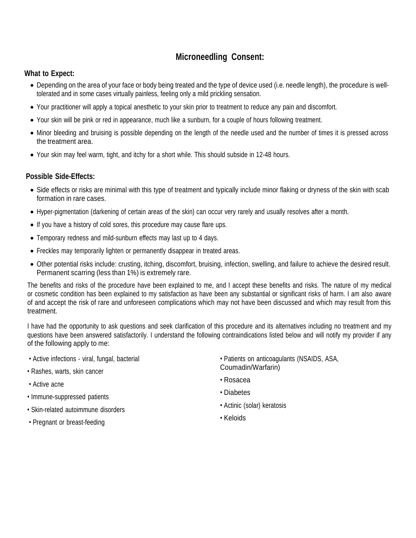## **Microneedling Consent:**

#### **What to Expect:**

- Depending on the area of your face or body being treated and the type of device used (i.e. needle length), the procedure is welltolerated and in some cases virtually painless, feeling only a mild prickling sensation.
- Your practitioner will apply a topical anesthetic to your skin prior to treatment to reduce any pain and discomfort.
- Your skin will be pink or red in appearance, much like a sunburn, for a couple of hours following treatment.
- Minor bleeding and bruising is possible depending on the length of the needle used and the number of times it is pressed across the treatment area.
- Your skin may feel warm, tight, and itchy for a short while. This should subside in 12-48 hours.

#### **Possible Side-Effects:**

- Side effects or risks are minimal with this type of treatment and typically include minor flaking or dryness of the skin with scab formation in rare cases.
- Hyper-pigmentation (darkening of certain areas of the skin) can occur very rarely and usually resolves after a month.
- If you have a history of cold sores, this procedure may cause flare ups.
- Temporary redness and mild-sunburn effects may last up to 4 days.
- Freckles may temporarily lighten or permanently disappear in treated areas.
- Other potential risks include: crusting, itching, discomfort, bruising, infection, swelling, and failure to achieve the desired result. Permanent scarring (less than 1%) is extremely rare.

The benefits and risks of the procedure have been explained to me, and I accept these benefits and risks. The nature of my medical or cosmetic condition has been explained to my satisfaction as have been any substantial or significant risks of harm. I am also aware of and accept the risk of rare and unforeseen complications which may not have been discussed and which may result from this treatment.

I have had the opportunity to ask questions and seek clarification of this procedure and its alternatives including no treatment and my questions have been answered satisfactorily. I understand the following contraindications listed below and will notify my provider if any of the following apply to me:

- Active infections viral, fungal, bacterial
- Rashes, warts, skin cancer
- Active acne
- Immune-suppressed patients
- Skin-related autoimmune disorders
- Pregnant or breast-feeding
- Patients on anticoagulants (NSAIDS, ASA, Coumadin/Warfarin)
- Rosacea
- Diabetes
- Actinic (solar) keratosis
- Keloids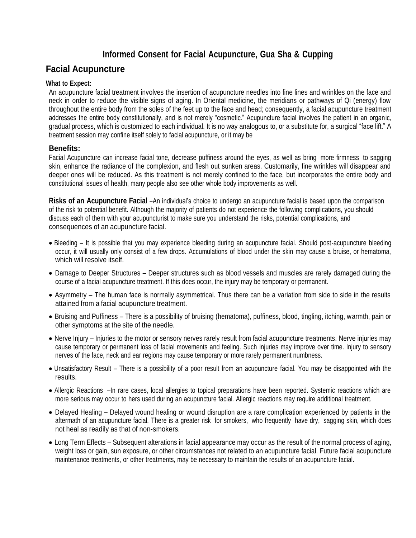## **Informed Consent for Facial Acupuncture, Gua Sha & Cupping**

## **Facial Acupuncture**

#### **What to Expect:**

An acupuncture facial treatment involves the insertion of acupuncture needles into fine lines and wrinkles on the face and neck in order to reduce the visible signs of aging. In Oriental medicine, the meridians or pathways of Qi (energy) flow throughout the entire body from the soles of the feet up to the face and head; consequently, a facial acupuncture treatment addresses the entire body constitutionally, and is not merely "cosmetic." Acupuncture facial involves the patient in an organic, gradual process, which is customized to each individual. It is no way analogous to, or a substitute for, a surgical "face lift." A treatment session may confine itself solely to facial acupuncture, or it may be

#### **Benefits:**

Facial Acupuncture can increase facial tone, decrease puffiness around the eyes, as well as bring more firmness to sagging skin, enhance the radiance of the complexion, and flesh out sunken areas. Customarily, fine wrinkles will disappear and deeper ones will be reduced. As this treatment is not merely confined to the face, but incorporates the entire body and constitutional issues of health, many people also see other whole body improvements as well.

**Risks of an Acupuncture Facial** –An individual's choice to undergo an acupuncture facial is based upon the comparison of the risk to potential benefit. Although the majority of patients do not experience the following complications, you should discuss each of them with your acupuncturist to make sure you understand the risks, potential complications, and consequences of an acupuncture facial.

- Bleeding It is possible that you may experience bleeding during an acupuncture facial. Should post-acupuncture bleeding occur, it will usually only consist of a few drops. Accumulations of blood under the skin may cause a bruise, or hematoma, which will resolve itself.
- Damage to Deeper Structures Deeper structures such as blood vessels and muscles are rarely damaged during the course of a facial acupuncture treatment. If this does occur, the injury may be temporary or permanent.
- Asymmetry The human face is normally asymmetrical. Thus there can be a variation from side to side in the results attained from a facial acupuncture treatment.
- Bruising and Puffiness There is a possibility of bruising (hematoma), puffiness, blood, tingling, itching, warmth, pain or other symptoms at the site of the needle.
- Nerve Injury Injuries to the motor or sensory nerves rarely result from facial acupuncture treatments. Nerve injuries may cause temporary or permanent loss of facial movements and feeling. Such injuries may improve over time. Injury to sensory nerves of the face, neck and ear regions may cause temporary or more rarely permanent numbness.
- Unsatisfactory Result There is a possibility of a poor result from an acupuncture facial. You may be disappointed with the results.
- Allergic Reactions –In rare cases, local allergies to topical preparations have been reported. Systemic reactions which are more serious may occur to hers used during an acupuncture facial. Allergic reactions may require additional treatment.
- Delayed Healing Delayed wound healing or wound disruption are a rare complication experienced by patients in the aftermath of an acupuncture facial. There is a greater risk for smokers, who frequently have dry, sagging skin, which does not heal as readily as that of non-smokers.
- Long Term Effects Subsequent alterations in facial appearance may occur as the result of the normal process of aging, weight loss or gain, sun exposure, or other circumstances not related to an acupuncture facial. Future facial acupuncture maintenance treatments, or other treatments, may be necessary to maintain the results of an acupuncture facial.